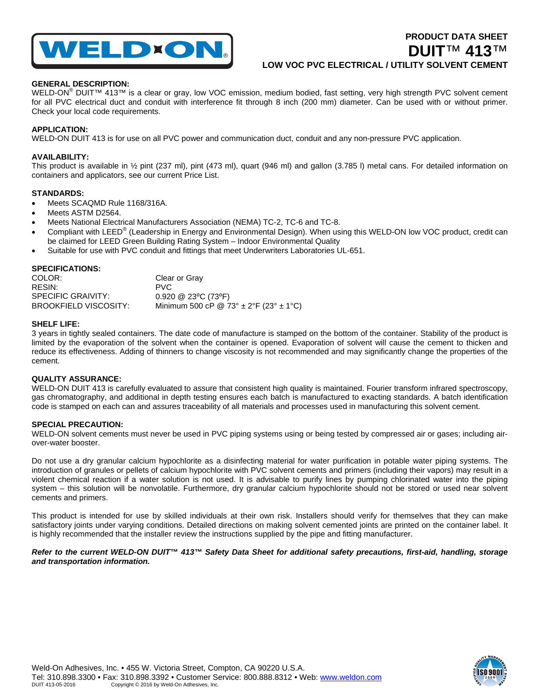

# **PRODUCT DATA SHEET DUIT**™ **413**™ **LOW VOC PVC ELECTRICAL / UTILITY SOLVENT CEMENT**

# **GENERAL DESCRIPTION:**

WELD-ON<sup>®</sup> DUIT™ 413™ is a clear or gray, low VOC emission, medium bodied, fast setting, very high strength PVC solvent cement for all PVC electrical duct and conduit with interference fit through 8 inch (200 mm) diameter. Can be used with or without primer. Check your local code requirements.

# **APPLICATION:**

WELD-ON DUIT 413 is for use on all PVC power and communication duct, conduit and any non-pressure PVC application.

# **AVAILABILITY:**

This product is available in ½ pint (237 ml), pint (473 ml), quart (946 ml) and gallon (3.785 l) metal cans. For detailed information on containers and applicators, see our current Price List.

## **STANDARDS:**

- Meets SCAQMD Rule 1168/316A.
- Meets ASTM D2564.
- Meets National Electrical Manufacturers Association (NEMA) TC-2, TC-6 and TC-8.
- Compliant with LEED<sup>®</sup> (Leadership in Energy and Environmental Design). When using this WELD-ON low VOC product, credit can be claimed for LEED Green Building Rating System – Indoor Environmental Quality
- Suitable for use with PVC conduit and fittings that meet Underwriters Laboratories UL-651.

#### **SPECIFICATIONS:**

| COLOR:                | Clear or Gray                                  |
|-----------------------|------------------------------------------------|
| RESIN:                | PVC.                                           |
| SPECIFIC GRAIVITY:    | $0.920 \ @ \ 23^{\circ}C \ (73^{\circ}F)$      |
| BROOKFIELD VISCOSITY: | Minimum 500 cP @ 73° $\pm$ 2°F (23° $\pm$ 1°C) |

## **SHELF LIFE:**

3 years in tightly sealed containers. The date code of manufacture is stamped on the bottom of the container. Stability of the product is limited by the evaporation of the solvent when the container is opened. Evaporation of solvent will cause the cement to thicken and reduce its effectiveness. Adding of thinners to change viscosity is not recommended and may significantly change the properties of the cement.

# **QUALITY ASSURANCE:**

WELD-ON DUIT 413 is carefully evaluated to assure that consistent high quality is maintained. Fourier transform infrared spectroscopy, gas chromatography, and additional in depth testing ensures each batch is manufactured to exacting standards. A batch identification code is stamped on each can and assures traceability of all materials and processes used in manufacturing this solvent cement.

#### **SPECIAL PRECAUTION:**

WELD-ON solvent cements must never be used in PVC piping systems using or being tested by compressed air or gases; including airover-water booster.

Do not use a dry granular calcium hypochlorite as a disinfecting material for water purification in potable water piping systems. The introduction of granules or pellets of calcium hypochlorite with PVC solvent cements and primers (including their vapors) may result in a violent chemical reaction if a water solution is not used. It is advisable to purify lines by pumping chlorinated water into the piping system – this solution will be nonvolatile. Furthermore, dry granular calcium hypochlorite should not be stored or used near solvent cements and primers.

This product is intended for use by skilled individuals at their own risk. Installers should verify for themselves that they can make satisfactory joints under varying conditions. Detailed directions on making solvent cemented joints are printed on the container label. It is highly recommended that the installer review the instructions supplied by the pipe and fitting manufacturer.

*Refer to the current WELD-ON DUIT™ 413™ Safety Data Sheet for additional safety precautions, first-aid, handling, storage and transportation information.*